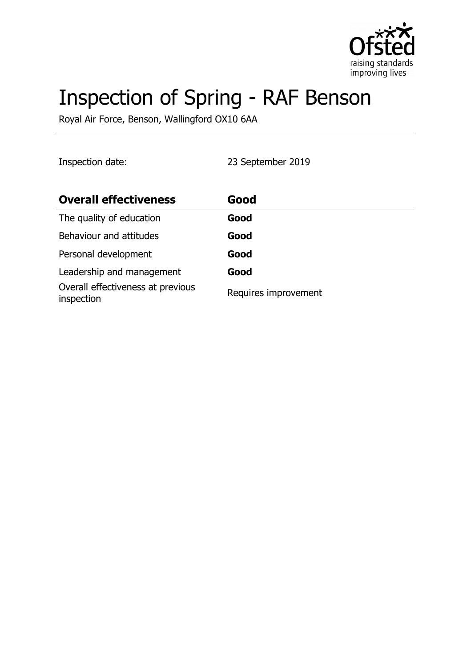

# Inspection of Spring - RAF Benson

Royal Air Force, Benson, Wallingford OX10 6AA

Inspection date: 23 September 2019

| <b>Overall effectiveness</b>                    | Good                 |
|-------------------------------------------------|----------------------|
| The quality of education                        | Good                 |
| Behaviour and attitudes                         | Good                 |
| Personal development                            | Good                 |
| Leadership and management                       | Good                 |
| Overall effectiveness at previous<br>inspection | Requires improvement |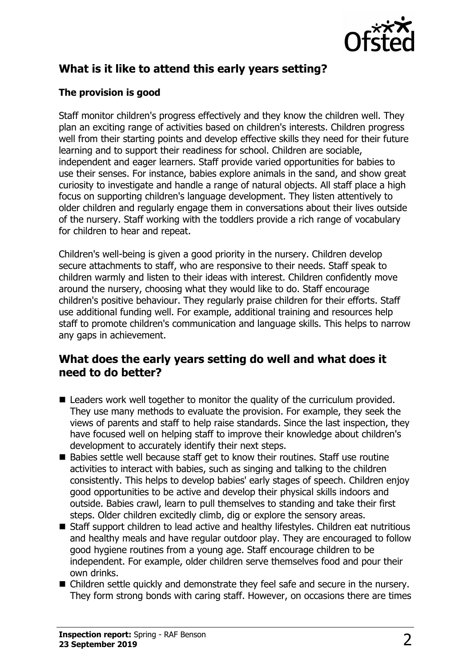

# **What is it like to attend this early years setting?**

### **The provision is good**

Staff monitor children's progress effectively and they know the children well. They plan an exciting range of activities based on children's interests. Children progress well from their starting points and develop effective skills they need for their future learning and to support their readiness for school. Children are sociable, independent and eager learners. Staff provide varied opportunities for babies to use their senses. For instance, babies explore animals in the sand, and show great curiosity to investigate and handle a range of natural objects. All staff place a high focus on supporting children's language development. They listen attentively to older children and regularly engage them in conversations about their lives outside of the nursery. Staff working with the toddlers provide a rich range of vocabulary for children to hear and repeat.

Children's well-being is given a good priority in the nursery. Children develop secure attachments to staff, who are responsive to their needs. Staff speak to children warmly and listen to their ideas with interest. Children confidently move around the nursery, choosing what they would like to do. Staff encourage children's positive behaviour. They regularly praise children for their efforts. Staff use additional funding well. For example, additional training and resources help staff to promote children's communication and language skills. This helps to narrow any gaps in achievement.

## **What does the early years setting do well and what does it need to do better?**

- $\blacksquare$  Leaders work well together to monitor the quality of the curriculum provided. They use many methods to evaluate the provision. For example, they seek the views of parents and staff to help raise standards. Since the last inspection, they have focused well on helping staff to improve their knowledge about children's development to accurately identify their next steps.
- $\blacksquare$  Babies settle well because staff get to know their routines. Staff use routine activities to interact with babies, such as singing and talking to the children consistently. This helps to develop babies' early stages of speech. Children enjoy good opportunities to be active and develop their physical skills indoors and outside. Babies crawl, learn to pull themselves to standing and take their first steps. Older children excitedly climb, dig or explore the sensory areas.
- Staff support children to lead active and healthy lifestyles. Children eat nutritious and healthy meals and have regular outdoor play. They are encouraged to follow good hygiene routines from a young age. Staff encourage children to be independent. For example, older children serve themselves food and pour their own drinks.
- $\blacksquare$  Children settle quickly and demonstrate they feel safe and secure in the nursery. They form strong bonds with caring staff. However, on occasions there are times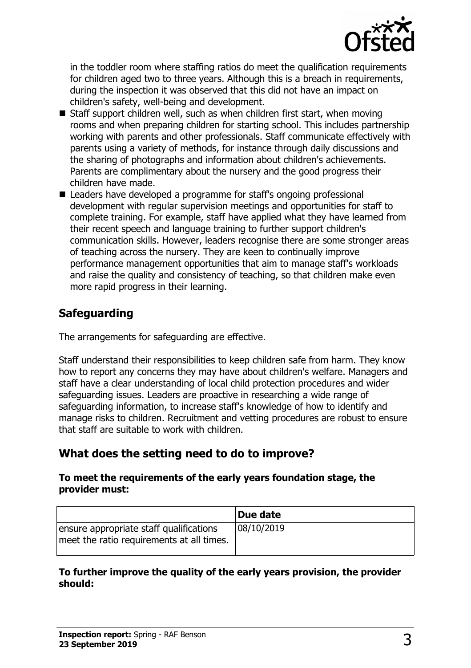

in the toddler room where staffing ratios do meet the qualification requirements for children aged two to three years. Although this is a breach in requirements, during the inspection it was observed that this did not have an impact on children's safety, well-being and development.

- $\blacksquare$  Staff support children well, such as when children first start, when moving rooms and when preparing children for starting school. This includes partnership working with parents and other professionals. Staff communicate effectively with parents using a variety of methods, for instance through daily discussions and the sharing of photographs and information about children's achievements. Parents are complimentary about the nursery and the good progress their children have made.
- Leaders have developed a programme for staff's ongoing professional development with regular supervision meetings and opportunities for staff to complete training. For example, staff have applied what they have learned from their recent speech and language training to further support children's communication skills. However, leaders recognise there are some stronger areas of teaching across the nursery. They are keen to continually improve performance management opportunities that aim to manage staff's workloads and raise the quality and consistency of teaching, so that children make even more rapid progress in their learning.

# **Safeguarding**

The arrangements for safeguarding are effective.

Staff understand their responsibilities to keep children safe from harm. They know how to report any concerns they may have about children's welfare. Managers and staff have a clear understanding of local child protection procedures and wider safeguarding issues. Leaders are proactive in researching a wide range of safeguarding information, to increase staff's knowledge of how to identify and manage risks to children. Recruitment and vetting procedures are robust to ensure that staff are suitable to work with children.

# **What does the setting need to do to improve?**

#### **To meet the requirements of the early years foundation stage, the provider must:**

|                                                                                      | Due date   |
|--------------------------------------------------------------------------------------|------------|
| ensure appropriate staff qualifications<br>meet the ratio requirements at all times. | 08/10/2019 |

#### **To further improve the quality of the early years provision, the provider should:**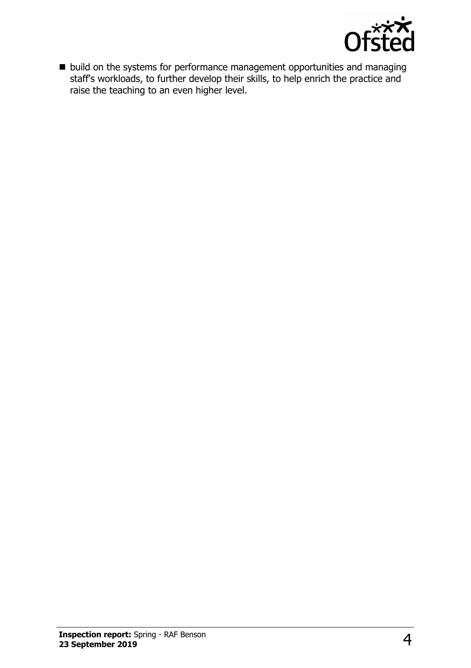

 $\blacksquare$  build on the systems for performance management opportunities and managing staff's workloads, to further develop their skills, to help enrich the practice and raise the teaching to an even higher level.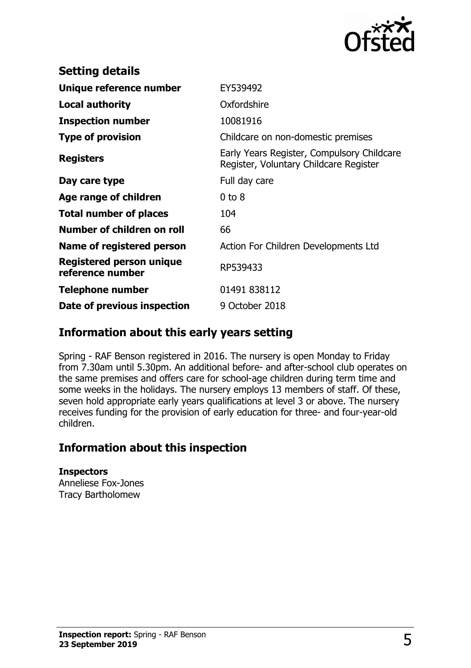

| <b>Setting details</b>                       |                                                                                      |
|----------------------------------------------|--------------------------------------------------------------------------------------|
| Unique reference number                      | EY539492                                                                             |
| Local authority                              | Oxfordshire                                                                          |
| <b>Inspection number</b>                     | 10081916                                                                             |
| <b>Type of provision</b>                     | Childcare on non-domestic premises                                                   |
| <b>Registers</b>                             | Early Years Register, Compulsory Childcare<br>Register, Voluntary Childcare Register |
| Day care type                                | Full day care                                                                        |
| Age range of children                        | $0$ to $8$                                                                           |
| <b>Total number of places</b>                | 104                                                                                  |
| Number of children on roll                   | 66                                                                                   |
| Name of registered person                    | Action For Children Developments Ltd                                                 |
| Registered person unique<br>reference number | RP539433                                                                             |
| <b>Telephone number</b>                      | 01491 838112                                                                         |
| Date of previous inspection                  | 9 October 2018                                                                       |

## **Information about this early years setting**

Spring - RAF Benson registered in 2016. The nursery is open Monday to Friday from 7.30am until 5.30pm. An additional before- and after-school club operates on the same premises and offers care for school-age children during term time and some weeks in the holidays. The nursery employs 13 members of staff. Of these, seven hold appropriate early years qualifications at level 3 or above. The nursery receives funding for the provision of early education for three- and four-year-old children.

# **Information about this inspection**

**Inspectors** Anneliese Fox-Jones Tracy Bartholomew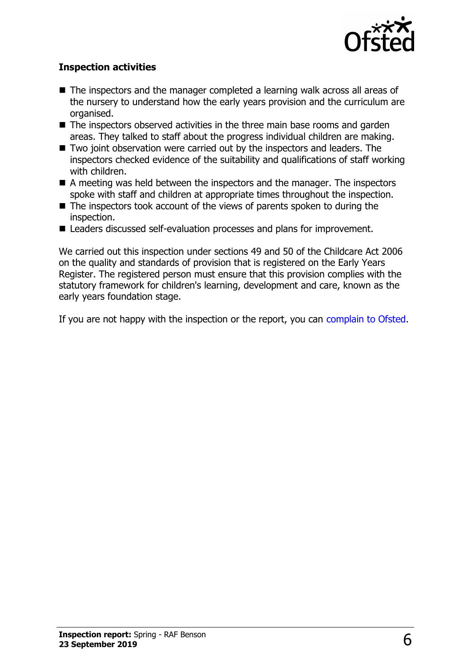

#### **Inspection activities**

- $\blacksquare$  The inspectors and the manager completed a learning walk across all areas of the nursery to understand how the early years provision and the curriculum are organised.
- $\blacksquare$  The inspectors observed activities in the three main base rooms and garden areas. They talked to staff about the progress individual children are making.
- Two joint observation were carried out by the inspectors and leaders. The inspectors checked evidence of the suitability and qualifications of staff working with children.
- $\blacksquare$  A meeting was held between the inspectors and the manager. The inspectors spoke with staff and children at appropriate times throughout the inspection.
- $\blacksquare$  The inspectors took account of the views of parents spoken to during the inspection.
- Leaders discussed self-evaluation processes and plans for improvement.

We carried out this inspection under sections 49 and 50 of the Childcare Act 2006 on the quality and standards of provision that is registered on the Early Years Register. The registered person must ensure that this provision complies with the statutory framework for children's learning, development and care, known as the early years foundation stage.

If you are not happy with the inspection or the report, you can [complain to Ofsted.](http://www.gov.uk/complain-ofsted-report)